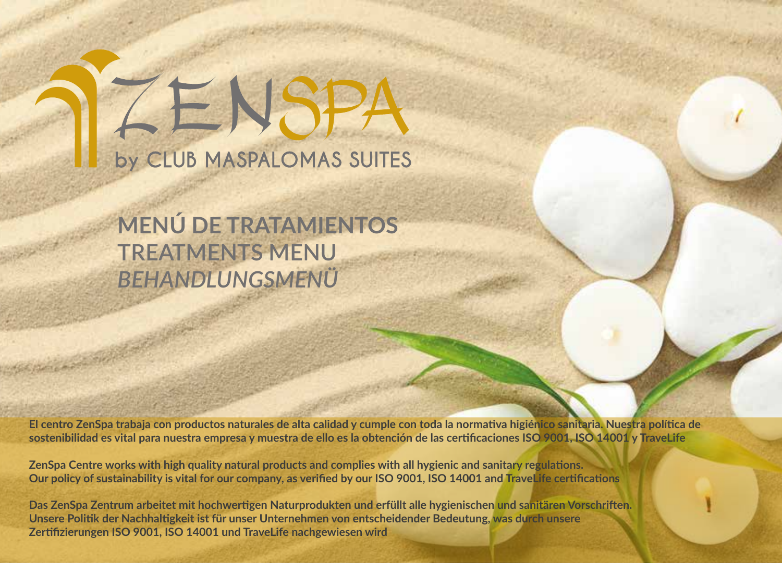# ZENSPA by CLUB MASPALOMAS SUITES

## **MENÚ DE TRATAMIENTOS TREATMENTS MENU** *BEHANDLUNGSMENÜ*

**El centro ZenSpa trabaja con productos naturales de alta calidad y cumple con toda la normativa higiénico sanitaria. Nuestra política de sostenibilidad es vital para nuestra empresa y muestra de ello es la obtención de las certificaciones ISO 9001, ISO 14001 y TraveLife**

**ZenSpa Centre works with high quality natural products and complies with all hygienic and sanitary regulations. Our policy of sustainability is vital for our company, as verified by our ISO 9001, ISO 14001 and TraveLife certifications**

**Das ZenSpa Zentrum arbeitet mit hochwertigen Naturprodukten und erfüllt alle hygienischen und sanitären Vorschriften. Unsere Politik der Nachhaltigkeit ist für unser Unternehmen von entscheidender Bedeutung, was durch unsere Zertifizierungen ISO 9001, ISO 14001 und TraveLife nachgewiesen wird**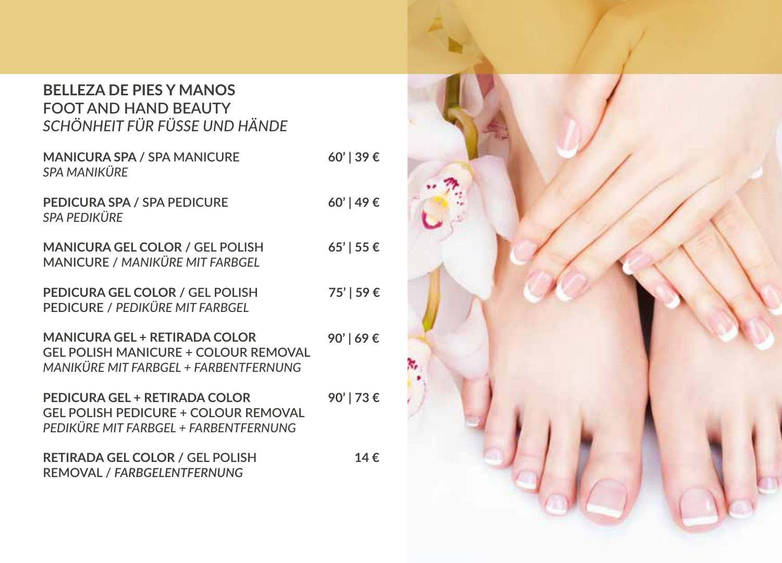#### **BELLEZA DE PIES Y MANOS FOOT AND HAND BEAUTY**  *SCHÖNHEIT FÜR FÜSSE UND HÄNDE*

| <b>MANICURA SPA / SPA MANICURE</b><br>SPA MANIKÜRE                                                                           | $60'$   39 € |
|------------------------------------------------------------------------------------------------------------------------------|--------------|
| PEDICURA SPA / SPA PEDICURE<br>SPA PEDIKÜRE                                                                                  | 60'   49 €   |
| <b>MANICURA GEL COLOR / GEL POLISH</b><br><b>MANICURE / MANIKÜRE MIT FARBGEL</b>                                             | $65'$   55 € |
| <b>PEDICURA GEL COLOR / GEL POLISH</b><br><b>PEDICURE / PEDIKÜRE MIT FARBGEL</b>                                             | 75'   59€    |
| <b>MANICURA GEL + RETIRADA COLOR</b><br><b>GEL POLISH MANICURE + COLOUR REMOVAL</b><br>MANIKÜRE MIT FARBGEL + FARBENTFERNUNG | 90'   69€    |
| PEDICURA GEL + RETIRADA COLOR<br><b>GEL POLISH PEDICURE + COLOUR REMOVAL</b><br>PEDIKÜRE MIT FARBGEL + FARBENTFERNUNG        | 90'∣73€      |

**RETIRADA GEL COLOR / GEL POLISH REMOVAL /** *FARBGELENTFERNUNG* **14 €** 

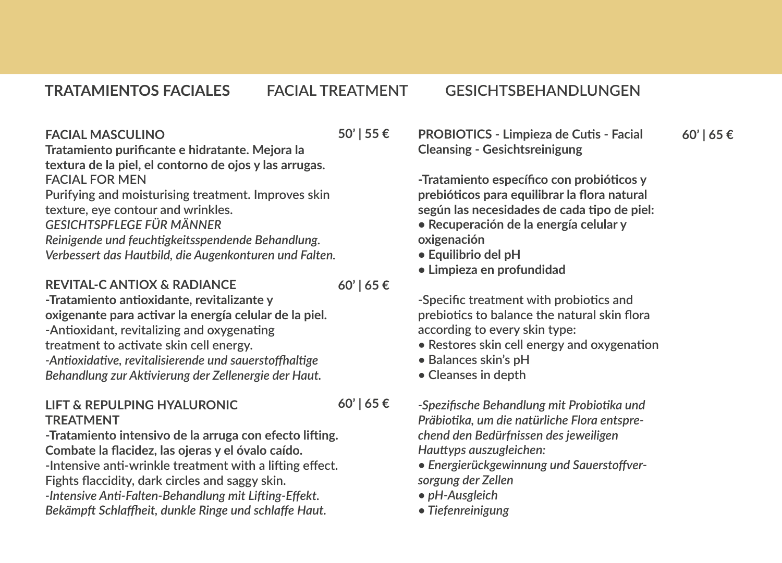#### **FACIAL MASCULINO**

**Tratamiento purificante e hidratante. Mejora la textura de la piel, el contorno de ojos y las arrugas. FACIAL FOR MEN Purifying and moisturising treatment. Improves skin** 

**texture, eye contour and wrinkles.** *GESICHTSPFLEGE FÜR MÄNNER Reinigende und feuchtigkeitsspendende Behandlung. Verbessert das Hautbild, die Augenkonturen und Falten.*

#### **REVITAL-C ANTIOX & RADIANCE**

**60' | 65 €**

**60' | 65 €**

**50' | 55 €** 

**-Tratamiento antioxidante, revitalizante y oxigenante para activar la energía celular de la piel. -Antioxidant, revitalizing and oxygenating treatment to activate skin cell energy.** *-Antioxidative, revitalisierende und sauerstoffhaltige Behandlung zur Aktivierung der Zellenergie der Haut.*

#### **LIFT & REPULPING HYALURONIC TREATMENT**

**-Tratamiento intensivo de la arruga con efecto lifting. Combate la flacidez, las ojeras y el óvalo caído. -Intensive anti-wrinkle treatment with a lifting effect. Fights flaccidity, dark circles and saggy skin.** *-Intensive Anti-Falten-Behandlung mit Lifting-Effekt. Bekämpft Schlaffheit, dunkle Ringe und schlaffe Haut.*

**PROBIOTICS - Limpieza de Cutis - Facial Cleansing - Gesichtsreinigung 60' | 65 €**

**-Tratamiento específico con probióticos y prebióticos para equilibrar la flora natural según las necesidades de cada tipo de piel:**

- **Recuperación de la energía celular y oxigenación**
- **Equilibrio del pH**
- **Limpieza en profundidad**

**-Specific treatment with probiotics and prebiotics to balance the natural skin flora according to every skin type:**

- **Restores skin cell energy and oxygenation**
- **Balances skin's pH**
- **Cleanses in depth**

*-Spezifische Behandlung mit Probiotika und Präbiotika, um die natürliche Flora entsprechend den Bedürfnissen des jeweiligen Hauttyps auszugleichen:*

- *Energierückgewinnung und Sauerstoffversorgung der Zellen*
- *pH-Ausgleich*
- *Tiefenreinigung*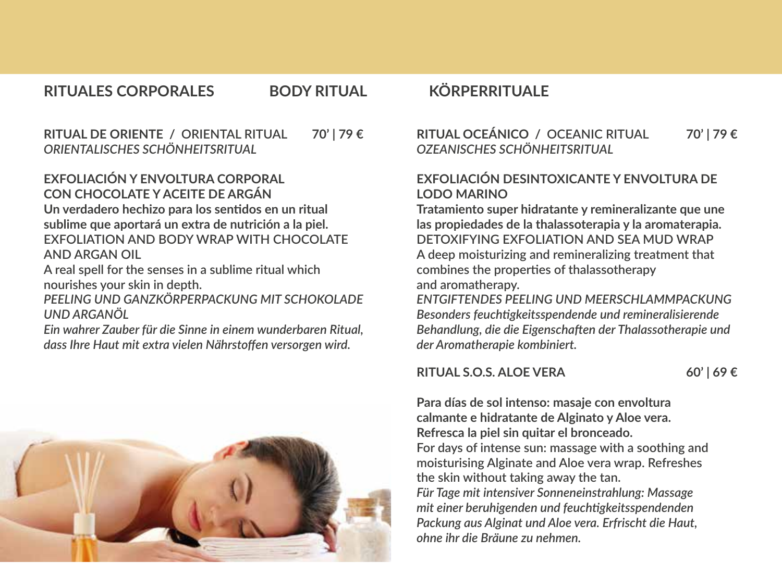**RITUAL DE ORIENTE / ORIENTAL RITUAL** *ORIENTALISCHES SCHÖNHEITSRITUAL*

#### **EXFOLIACIÓN Y ENVOLTURA CORPORAL CON CHOCOLATE Y ACEITE DE ARGÁN**

**Un verdadero hechizo para los sentidos en un ritual sublime que aportará un extra de nutrición a la piel. EXFOLIATION AND BODY WRAP WITH CHOCOLATE AND ARGAN OIL**

**A real spell for the senses in a sublime ritual which nourishes your skin in depth.**

*PEELING UND GANZKÖRPERPACKUNG MIT SCHOKOLADE UND ARGANÖL*

*Ein wahrer Zauber für die Sinne in einem wunderbaren Ritual, dass Ihre Haut mit extra vielen Nährstoffen versorgen wird.*



**RITUAL OCEÁNICO / OCEANIC RITUAL 70' | 79 € 70' | 79 €** *OZEANISCHES SCHÖNHEITSRITUAL*

#### **EXFOLIACIÓN DESINTOXICANTE Y ENVOLTURA DE LODO MARINO**

**Tratamiento super hidratante y remineralizante que une las propiedades de la thalassoterapia y la aromaterapia. DETOXIFYING EXFOLIATION AND SEA MUD WRAP A deep moisturizing and remineralizing treatment that combines the properties of thalassotherapy and aromatherapy.**

*ENTGIFTENDES PEELING UND MEERSCHLAMMPACKUNG Besonders feuchtigkeitsspendende und remineralisierende Behandlung, die die Eigenschaften der Thalassotherapie und der Aromatherapie kombiniert.*

#### **RITUAL S.O.S. ALOE VERA**

**60' | 69 €**

**Para días de sol intenso: masaje con envoltura calmante e hidratante de Alginato y Aloe vera. Refresca la piel sin quitar el bronceado. For days of intense sun: massage with a soothing and moisturising Alginate and Aloe vera wrap. Refreshes the skin without taking away the tan.** *Für Tage mit intensiver Sonneneinstrahlung: Massage mit einer beruhigenden und feuchtigkeitsspendenden Packung aus Alginat und Aloe vera. Erfrischt die Haut, ohne ihr die Bräune zu nehmen.*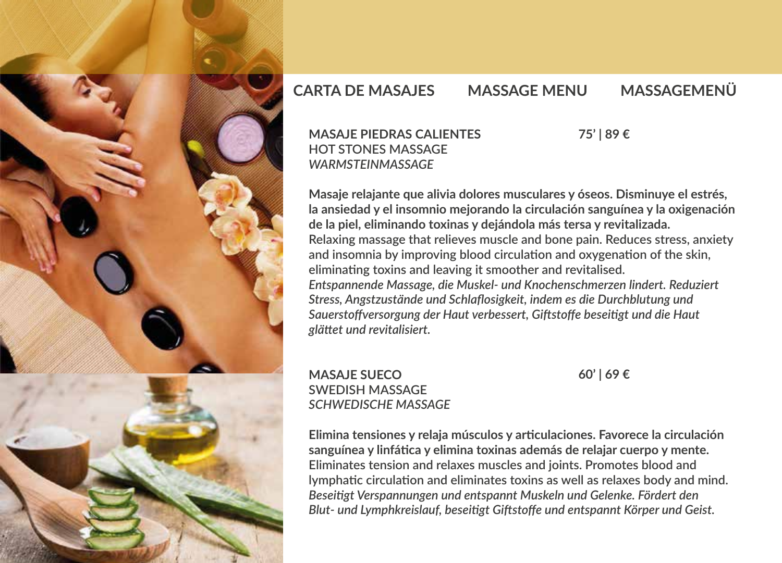

### **CARTA DE MASAJES MASSAGE MENU MASSAGEMENÜ**

#### **MASAJE PIEDRAS CALIENTES HOT STONES MASSAGE** *WARMSTEINMASSAGE*

**75' | 89 €**

**Masaje relajante que alivia dolores musculares y óseos. Disminuye el estrés, la ansiedad y el insomnio mejorando la circulación sanguínea y la oxigenación de la piel, eliminando toxinas y dejándola más tersa y revitalizada. Relaxing massage that relieves muscle and bone pain. Reduces stress, anxiety and insomnia by improving blood circulation and oxygenation of the skin, eliminating toxins and leaving it smoother and revitalised.** *Entspannende Massage, die Muskel- und Knochenschmerzen lindert. Reduziert Stress, Angstzustände und Schlaflosigkeit, indem es die Durchblutung und Sauerstoffversorgung der Haut verbessert, Giftstoffe beseitigt und die Haut glättet und revitalisiert.*

#### **MASAJE SUECO SWEDISH MASSAGE**  *SCHWEDISCHE MASSAGE*

**60' | 69 €**

**Elimina tensiones y relaja músculos y articulaciones. Favorece la circulación sanguínea y linfática y elimina toxinas además de relajar cuerpo y mente. Eliminates tension and relaxes muscles and joints. Promotes blood and lymphatic circulation and eliminates toxins as well as relaxes body and mind.** *Beseitigt Verspannungen und entspannt Muskeln und Gelenke. Fördert den Blut- und Lymphkreislauf, beseitigt Giftstoffe und entspannt Körper und Geist.*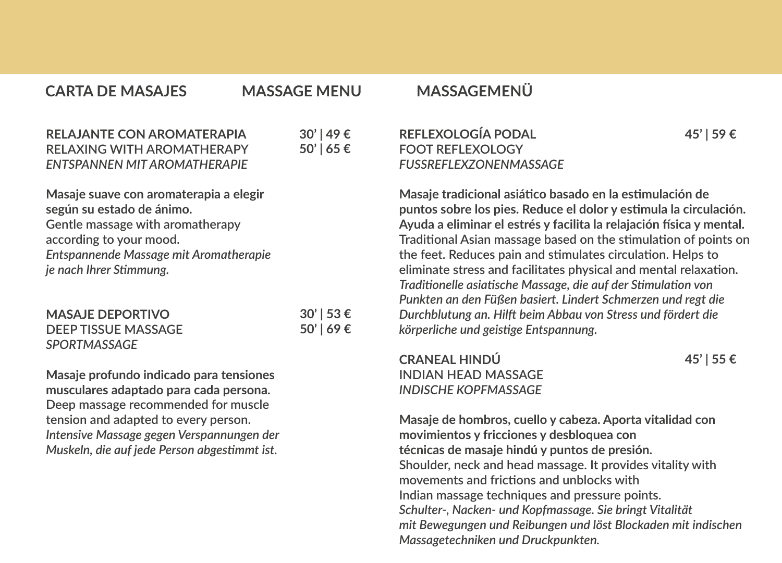**CARTA DE MASAJES MASSAGE MENU MASSAGEMENÜ**

#### **RELAJANTE CON AROMATERAPIA RELAXING WITH AROMATHERAPY**  *ENTSPANNEN MIT AROMATHERAPIE* **30' | 49 € 50' | 65 €**

**Masaje suave con aromaterapia a elegir según su estado de ánimo. Gentle massage with aromatherapy according to your mood.** *Entspannende Massage mit Aromatherapie je nach Ihrer Stimmung.*

| <b>MASAJE DEPORTIVO</b> | $30'$   53 € |
|-------------------------|--------------|
| DEEP TISSUE MASSAGE     | $50'$   69 € |
| <b>SPORTMASSAGE</b>     |              |

**Masaje profundo indicado para tensiones musculares adaptado para cada persona. Deep massage recommended for muscle tension and adapted to every person.** *Intensive Massage gegen Verspannungen der Muskeln, die auf jede Person abgestimmt ist.*

#### **REFLEXOLOGÍA PODAL FOOT REFLEXOLOGY** *FUSSREFLEXZONENMASSAGE*

**Masaje tradicional asiático basado en la estimulación de puntos sobre los pies. Reduce el dolor y estimula la circulación. Ayuda a eliminar el estrés y facilita la relajación física y mental. Traditional Asian massage based on the stimulation of points on the feet. Reduces pain and stimulates circulation. Helps to eliminate stress and facilitates physical and mental relaxation.** *Traditionelle asiatische Massage, die auf der Stimulation von Punkten an den Füßen basiert. Lindert Schmerzen und regt die Durchblutung an. Hilft beim Abbau von Stress und fördert die körperliche und geistige Entspannung.*

**CRANEAL HINDÚ INDIAN HEAD MASSAGE** *INDISCHE KOPFMASSAGE*

**45' | 55 €**

**45' | 59 €**

**Masaje de hombros, cuello y cabeza. Aporta vitalidad con movimientos y fricciones y desbloquea con técnicas de masaje hindú y puntos de presión. Shoulder, neck and head massage. It provides vitality with movements and frictions and unblocks with Indian massage techniques and pressure points.** *Schulter-, Nacken- und Kopfmassage. Sie bringt Vitalität mit Bewegungen und Reibungen und löst Blockaden mit indischen Massagetechniken und Druckpunkten.*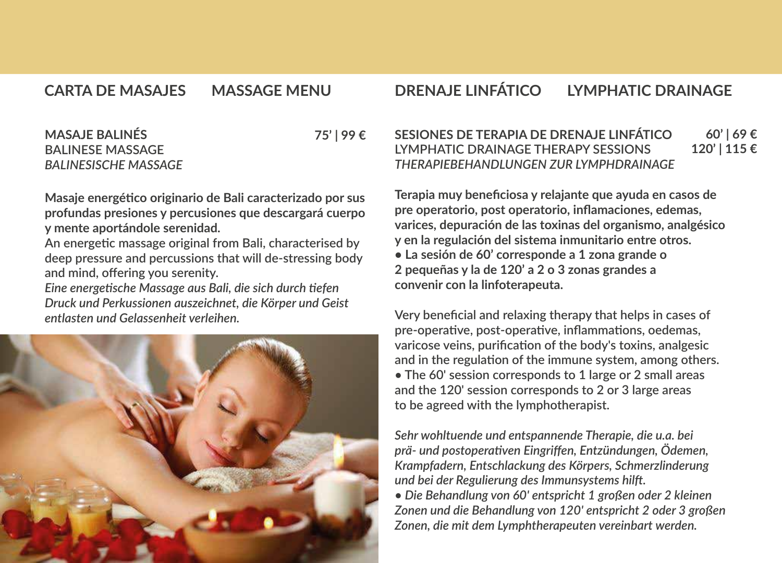#### **CARTA DE MASAJES**

#### **CARTA DE MASAJES MASSAGE MENU DRENAJE LINFÁTICO LYMPHATIC DRAINAGE**

#### **MASAJE BALINÉS BALINESE MASSAGE** *BALINESISCHE MASSAGE* **75' | 99 €**

**Masaje energético originario de Bali caracterizado por sus profundas presiones y percusiones que descargará cuerpo y mente aportándole serenidad.**

**An energetic massage original from Bali, characterised by deep pressure and percussions that will de-stressing body and mind, offering you serenity.**

*Eine energetische Massage aus Bali, die sich durch tiefen Druck und Perkussionen auszeichnet, die Körper und Geist entlasten und Gelassenheit verleihen.*



#### **SESIONES DE TERAPIA DE DRENAJE LINFÁTICO LYMPHATIC DRAINAGE THERAPY SESSIONS LYMPHATIC DRAINAGE THERAPY SESSIONS** *THERAPIEBEHANDLUNGEN ZUR LYMPHDRAINAGE*  **60' | 69 € 120' | 115 €**

**Terapia muy beneficiosa y relajante que ayuda en casos de pre operatorio, post operatorio, inflamaciones, edemas, varices, depuración de las toxinas del organismo, analgésico y en la regulación del sistema inmunitario entre otros. • La sesión de 60' corresponde a 1 zona grande o 2 pequeñas y la de 120' a 2 o 3 zonas grandes a convenir con la linfoterapeuta.**

**Very beneficial and relaxing therapy that helps in cases of pre-operative, post-operative, inflammations, oedemas, varicose veins, purification of the body's toxins, analgesic and in the regulation of the immune system, among others. • The 60' session corresponds to 1 large or 2 small areas and the 120' session corresponds to 2 or 3 large areas to be agreed with the lymphotherapist.**

*Sehr wohltuende und entspannende Therapie, die u.a. bei prä- und postoperativen Eingriffen, Entzündungen, Ödemen, Krampfadern, Entschlackung des Körpers, Schmerzlinderung und bei der Regulierung des Immunsystems hilft.*

*• Die Behandlung von 60' entspricht 1 großen oder 2 kleinen Zonen und die Behandlung von 120' entspricht 2 oder 3 großen Zonen, die mit dem Lymphtherapeuten vereinbart werden.*